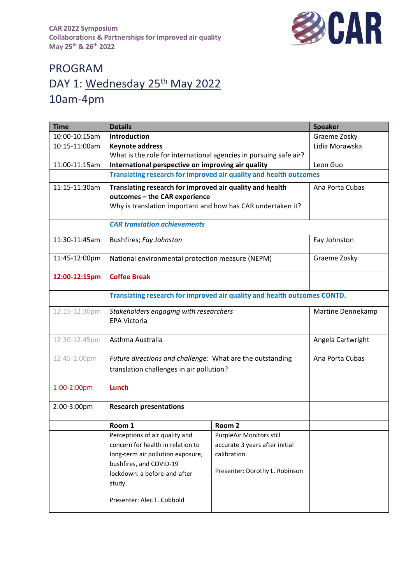

## PROGRAM DAY 1: Wednesday 25<sup>th</sup> May 2022 10am-4pm

| <b>Time</b>   | <b>Details</b>                                                                                                                                           |                                 | <b>Speaker</b>    |
|---------------|----------------------------------------------------------------------------------------------------------------------------------------------------------|---------------------------------|-------------------|
| 10:00-10:15am | Introduction                                                                                                                                             |                                 | Graeme Zosky      |
| 10:15-11:00am | <b>Keynote address</b>                                                                                                                                   |                                 | Lidia Morawska    |
|               | What is the role for international agencies in pursuing safe air?                                                                                        |                                 |                   |
| 11:00-11:15am | International perspective on improving air quality                                                                                                       | Leon Guo                        |                   |
|               | Translating research for improved air quality and health outcomes                                                                                        |                                 |                   |
| 11:15-11:30am | Translating research for improved air quality and health<br>outcomes - the CAR experience<br>Why is translation important and how has CAR undertaken it? |                                 | Ana Porta Cubas   |
|               | <b>CAR translation achievements</b>                                                                                                                      |                                 |                   |
| 11:30-11:45am | Bushfires; Fay Johnston                                                                                                                                  |                                 | Fay Johnston      |
| 11:45-12:00pm | National environmental protection measure (NEPM)                                                                                                         |                                 | Graeme Zosky      |
| 12:00-12:15pm | <b>Coffee Break</b>                                                                                                                                      |                                 |                   |
|               | Translating research for improved air quality and health outcomes CONTD.                                                                                 |                                 |                   |
| 12:15-12:30pm | Stakeholders engaging with researchers<br><b>EPA Victoria</b>                                                                                            |                                 | Martine Dennekamp |
| 12:30-12:45pm | Asthma Australia                                                                                                                                         |                                 | Angela Cartwright |
| 12:45-1:00pm  | Future directions and challenge: What are the outstanding<br>translation challenges in air pollution?                                                    |                                 | Ana Porta Cubas   |
| 1:00-2:00pm   | Lunch                                                                                                                                                    |                                 |                   |
| 2:00-3:00pm   | <b>Research presentations</b>                                                                                                                            |                                 |                   |
|               | Room 1                                                                                                                                                   | Room <sub>2</sub>               |                   |
|               | Perceptions of air quality and                                                                                                                           | <b>PurpleAir Monitors still</b> |                   |
|               | concern for health in relation to                                                                                                                        | accurate 3 years after initial  |                   |
|               | long-term air pollution exposure,                                                                                                                        | calibration.                    |                   |
|               | bushfires, and COVID-19<br>lockdown: a before-and-after<br>study.                                                                                        | Presenter: Dorothy L. Robinson  |                   |
|               | Presenter: Alec T. Cobbold                                                                                                                               |                                 |                   |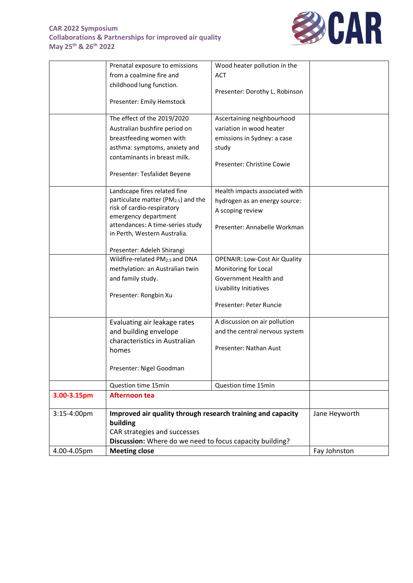## **CAR 2022 Symposium Collaborations & Partnerships for improved air quality May 25th & 26th 2022**



| Prenatal exposure to emissions   | Wood heater pollution in the                                                                                                                                                                                                                                                                                                                                                                                                                                                                                                                                                          |                                                                                                                                                                                                                                                                                                                                                                                                                                                                                                                                                         |
|----------------------------------|---------------------------------------------------------------------------------------------------------------------------------------------------------------------------------------------------------------------------------------------------------------------------------------------------------------------------------------------------------------------------------------------------------------------------------------------------------------------------------------------------------------------------------------------------------------------------------------|---------------------------------------------------------------------------------------------------------------------------------------------------------------------------------------------------------------------------------------------------------------------------------------------------------------------------------------------------------------------------------------------------------------------------------------------------------------------------------------------------------------------------------------------------------|
| from a coalmine fire and         | <b>ACT</b>                                                                                                                                                                                                                                                                                                                                                                                                                                                                                                                                                                            |                                                                                                                                                                                                                                                                                                                                                                                                                                                                                                                                                         |
|                                  |                                                                                                                                                                                                                                                                                                                                                                                                                                                                                                                                                                                       |                                                                                                                                                                                                                                                                                                                                                                                                                                                                                                                                                         |
|                                  | Presenter: Dorothy L. Robinson                                                                                                                                                                                                                                                                                                                                                                                                                                                                                                                                                        |                                                                                                                                                                                                                                                                                                                                                                                                                                                                                                                                                         |
| Presenter: Emily Hemstock        |                                                                                                                                                                                                                                                                                                                                                                                                                                                                                                                                                                                       |                                                                                                                                                                                                                                                                                                                                                                                                                                                                                                                                                         |
|                                  |                                                                                                                                                                                                                                                                                                                                                                                                                                                                                                                                                                                       |                                                                                                                                                                                                                                                                                                                                                                                                                                                                                                                                                         |
|                                  |                                                                                                                                                                                                                                                                                                                                                                                                                                                                                                                                                                                       |                                                                                                                                                                                                                                                                                                                                                                                                                                                                                                                                                         |
|                                  |                                                                                                                                                                                                                                                                                                                                                                                                                                                                                                                                                                                       |                                                                                                                                                                                                                                                                                                                                                                                                                                                                                                                                                         |
|                                  | emissions in Sydney: a case                                                                                                                                                                                                                                                                                                                                                                                                                                                                                                                                                           |                                                                                                                                                                                                                                                                                                                                                                                                                                                                                                                                                         |
| asthma: symptoms, anxiety and    | study                                                                                                                                                                                                                                                                                                                                                                                                                                                                                                                                                                                 |                                                                                                                                                                                                                                                                                                                                                                                                                                                                                                                                                         |
| contaminants in breast milk.     |                                                                                                                                                                                                                                                                                                                                                                                                                                                                                                                                                                                       |                                                                                                                                                                                                                                                                                                                                                                                                                                                                                                                                                         |
|                                  |                                                                                                                                                                                                                                                                                                                                                                                                                                                                                                                                                                                       |                                                                                                                                                                                                                                                                                                                                                                                                                                                                                                                                                         |
|                                  |                                                                                                                                                                                                                                                                                                                                                                                                                                                                                                                                                                                       |                                                                                                                                                                                                                                                                                                                                                                                                                                                                                                                                                         |
|                                  |                                                                                                                                                                                                                                                                                                                                                                                                                                                                                                                                                                                       |                                                                                                                                                                                                                                                                                                                                                                                                                                                                                                                                                         |
|                                  |                                                                                                                                                                                                                                                                                                                                                                                                                                                                                                                                                                                       |                                                                                                                                                                                                                                                                                                                                                                                                                                                                                                                                                         |
|                                  |                                                                                                                                                                                                                                                                                                                                                                                                                                                                                                                                                                                       |                                                                                                                                                                                                                                                                                                                                                                                                                                                                                                                                                         |
| emergency department             |                                                                                                                                                                                                                                                                                                                                                                                                                                                                                                                                                                                       |                                                                                                                                                                                                                                                                                                                                                                                                                                                                                                                                                         |
| attendances: A time-series study |                                                                                                                                                                                                                                                                                                                                                                                                                                                                                                                                                                                       |                                                                                                                                                                                                                                                                                                                                                                                                                                                                                                                                                         |
| in Perth, Western Australia.     |                                                                                                                                                                                                                                                                                                                                                                                                                                                                                                                                                                                       |                                                                                                                                                                                                                                                                                                                                                                                                                                                                                                                                                         |
|                                  |                                                                                                                                                                                                                                                                                                                                                                                                                                                                                                                                                                                       |                                                                                                                                                                                                                                                                                                                                                                                                                                                                                                                                                         |
|                                  |                                                                                                                                                                                                                                                                                                                                                                                                                                                                                                                                                                                       |                                                                                                                                                                                                                                                                                                                                                                                                                                                                                                                                                         |
|                                  |                                                                                                                                                                                                                                                                                                                                                                                                                                                                                                                                                                                       |                                                                                                                                                                                                                                                                                                                                                                                                                                                                                                                                                         |
|                                  |                                                                                                                                                                                                                                                                                                                                                                                                                                                                                                                                                                                       |                                                                                                                                                                                                                                                                                                                                                                                                                                                                                                                                                         |
|                                  |                                                                                                                                                                                                                                                                                                                                                                                                                                                                                                                                                                                       |                                                                                                                                                                                                                                                                                                                                                                                                                                                                                                                                                         |
|                                  |                                                                                                                                                                                                                                                                                                                                                                                                                                                                                                                                                                                       |                                                                                                                                                                                                                                                                                                                                                                                                                                                                                                                                                         |
|                                  |                                                                                                                                                                                                                                                                                                                                                                                                                                                                                                                                                                                       |                                                                                                                                                                                                                                                                                                                                                                                                                                                                                                                                                         |
|                                  |                                                                                                                                                                                                                                                                                                                                                                                                                                                                                                                                                                                       |                                                                                                                                                                                                                                                                                                                                                                                                                                                                                                                                                         |
|                                  |                                                                                                                                                                                                                                                                                                                                                                                                                                                                                                                                                                                       |                                                                                                                                                                                                                                                                                                                                                                                                                                                                                                                                                         |
|                                  |                                                                                                                                                                                                                                                                                                                                                                                                                                                                                                                                                                                       |                                                                                                                                                                                                                                                                                                                                                                                                                                                                                                                                                         |
|                                  |                                                                                                                                                                                                                                                                                                                                                                                                                                                                                                                                                                                       |                                                                                                                                                                                                                                                                                                                                                                                                                                                                                                                                                         |
|                                  | Presenter: Nathan Aust                                                                                                                                                                                                                                                                                                                                                                                                                                                                                                                                                                |                                                                                                                                                                                                                                                                                                                                                                                                                                                                                                                                                         |
|                                  |                                                                                                                                                                                                                                                                                                                                                                                                                                                                                                                                                                                       |                                                                                                                                                                                                                                                                                                                                                                                                                                                                                                                                                         |
|                                  |                                                                                                                                                                                                                                                                                                                                                                                                                                                                                                                                                                                       |                                                                                                                                                                                                                                                                                                                                                                                                                                                                                                                                                         |
|                                  |                                                                                                                                                                                                                                                                                                                                                                                                                                                                                                                                                                                       |                                                                                                                                                                                                                                                                                                                                                                                                                                                                                                                                                         |
| Question time 15min              | Question time 15min                                                                                                                                                                                                                                                                                                                                                                                                                                                                                                                                                                   |                                                                                                                                                                                                                                                                                                                                                                                                                                                                                                                                                         |
| <b>Afternoon tea</b>             |                                                                                                                                                                                                                                                                                                                                                                                                                                                                                                                                                                                       |                                                                                                                                                                                                                                                                                                                                                                                                                                                                                                                                                         |
|                                  |                                                                                                                                                                                                                                                                                                                                                                                                                                                                                                                                                                                       | Jane Heyworth                                                                                                                                                                                                                                                                                                                                                                                                                                                                                                                                           |
| building                         |                                                                                                                                                                                                                                                                                                                                                                                                                                                                                                                                                                                       |                                                                                                                                                                                                                                                                                                                                                                                                                                                                                                                                                         |
|                                  |                                                                                                                                                                                                                                                                                                                                                                                                                                                                                                                                                                                       |                                                                                                                                                                                                                                                                                                                                                                                                                                                                                                                                                         |
|                                  |                                                                                                                                                                                                                                                                                                                                                                                                                                                                                                                                                                                       |                                                                                                                                                                                                                                                                                                                                                                                                                                                                                                                                                         |
| <b>Meeting close</b>             |                                                                                                                                                                                                                                                                                                                                                                                                                                                                                                                                                                                       | Fay Johnston                                                                                                                                                                                                                                                                                                                                                                                                                                                                                                                                            |
|                                  | childhood lung function.<br>The effect of the 2019/2020<br>Australian bushfire period on<br>breastfeeding women with<br>Presenter: Tesfalidet Beyene<br>Landscape fires related fine<br>particulate matter (PM <sub>2.5</sub> ) and the<br>risk of cardio-respiratory<br>Presenter: Adeleh Shirangi<br>Wildfire-related PM2.5 and DNA<br>methylation: an Australian twin<br>and family study.<br>Presenter: Rongbin Xu<br>Evaluating air leakage rates<br>and building envelope<br>characteristics in Australian<br>homes<br>Presenter: Nigel Goodman<br>CAR strategies and successes | Ascertaining neighbourhood<br>variation in wood heater<br>Presenter: Christine Cowie<br>Health impacts associated with<br>hydrogen as an energy source:<br>A scoping review<br>Presenter: Annabelle Workman<br><b>OPENAIR: Low-Cost Air Quality</b><br>Monitoring for Local<br>Government Health and<br>Livability Initiatives<br>Presenter: Peter Runcie<br>A discussion on air pollution<br>and the central nervous system<br>Improved air quality through research training and capacity<br>Discussion: Where do we need to focus capacity building? |